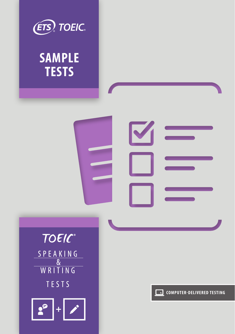

# **SAMPLE TESTS**

# V



**COMPUTER-DELIVERED TESTING**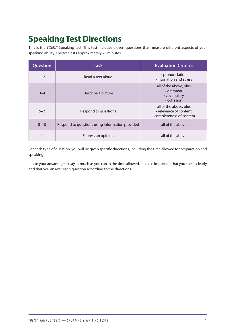# **Speaking Test Directions**

This is the *TOEIC®* Speaking test. This test includes eleven questions that measure different aspects of your speaking ability. The test lasts approximately 20 minutes.

| Question | <b>Task</b>                                     | <b>Evaluation Criteria</b>                                                    |
|----------|-------------------------------------------------|-------------------------------------------------------------------------------|
| $1 - 2$  | Read a text aloud                               | • pronunciation<br>. intonation and stress                                    |
| $3 - 4$  | Describe a picture                              | all of the above, plus<br>$\cdot$ grammar<br>• vocabulary<br>• cohesion       |
| $5 - 7$  | Respond to questions                            | all of the above, plus<br>• relevance of content<br>• completeness of content |
| $8 - 10$ | Respond to questions using information provided | all of the above                                                              |
| 11       | Express an opinion                              | all of the above                                                              |

For each type of question, you will be given specific directions, including the time allowed for preparation and speaking.

It is to your advantage to say as much as you can in the time allowed. It is also important that you speak clearly and that you answer each question according to the directions.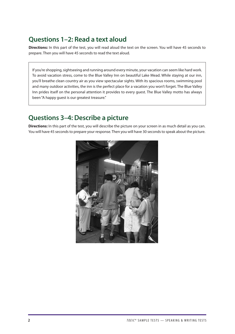# **Questions 1–2: Read a text aloud**

**Directions:** In this part of the test, you will read aloud the text on the screen. You will have 45 seconds to prepare. Then you will have 45 seconds to read the text aloud.

If you're shopping, sightseeing and running around every minute, your vacation can seem like hard work. To avoid vacation stress, come to the Blue Valley Inn on beautiful Lake Mead. While staying at our inn, you'll breathe clean country air as you view spectacular sights. With its spacious rooms, swimming pool and many outdoor activities, the inn is the perfect place for a vacation you won't forget. The Blue Valley Inn prides itself on the personal attention it provides to every guest. The Blue Valley motto has always been "A happy guest is our greatest treasure."

### **Questions 3–4: Describe a picture**

**Directions:** In this part of the test, you will describe the picture on your screen in as much detail as you can. You will have 45 seconds to prepare your response. Then you will have 30 seconds to speak about the picture.

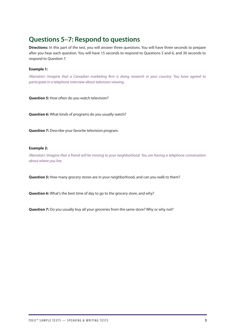## **Questions 5–7: Respond to questions**

**Directions:** In this part of the test, you will answer three questions. You will have three seconds to prepare after you hear each question. You will have 15 seconds to respond to Questions 5 and 6, and 30 seconds to respond to Question 7.

### **Example 1:**

*(Narrator): Imagine that a Canadian marketing firm is doing research in your country. You have agreed to participate in a telephone interview about television viewing.*

**Question 5:** How often do you watch television?

**Question 6:** What kinds of programs do you usually watch?

**Question 7:** Describe your favorite television program.

### **Example 2:**

*(Narrator): Imagine that a friend will be moving to your neighborhood. You are having a telephone conversation about where you live.*

**Question 5:** How many grocery stores are in your neighborhood, and can you walk to them?

**Question 6:** What's the best time of day to go to the grocery store, and why?

**Question 7:** Do you usually buy all your groceries from the same store? Why or why not?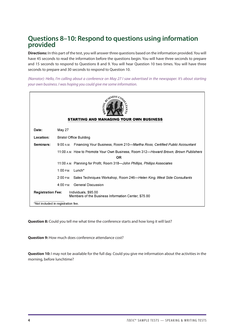### **Questions 8–10: Respond to questions using information provided**

**Directions:** In this part of the test, you will answer three questions based on the information provided. You will have 45 seconds to read the information before the questions begin. You will have three seconds to prepare and 15 seconds to respond to Questions 8 and 9. You will hear Question 10 two times. You will have three seconds to prepare and 30 seconds to respond to Question 10.

*(Narrator): Hello, I'm calling about a conference on May 27 I saw advertised in the newspaper. It's about starting your own business. I was hoping you could give me some information.*

| <b>REVIEWED</b><br><b>STARTING AND MANAGING YOUR OWN BUSINESS</b> |                                                                                                   |  |
|-------------------------------------------------------------------|---------------------------------------------------------------------------------------------------|--|
| Date:                                                             | May 27                                                                                            |  |
| Location:                                                         | <b>Bristol Office Building</b>                                                                    |  |
| Seminars:                                                         | Financing Your Business, Room 210—Martha Ross, Certified Public Accountant<br>9:00 A.M.           |  |
|                                                                   | 11:00 A.M. How to Promote Your Own Business, Room 312—Howard Brown, Brown Publishers<br><b>OR</b> |  |
|                                                                   | 11:00 A.M. Planning for Profit, Room 318-John Phillips, Phillips Associates                       |  |
|                                                                   | $1:00 \text{ P.M.}$<br>$Lunch*$                                                                   |  |
|                                                                   | Sales Techniques Workshop, Room 246—Helen King, West Side Consultants<br>$2:00$ P.M.              |  |
|                                                                   | $4:00 \text{ P.M.}$<br><b>General Discussion</b>                                                  |  |
| <b>Registration Fee:</b>                                          | Individuals, \$95.00<br>Members of the Business Information Center, \$75.00                       |  |
|                                                                   | *Not included in registration fee.                                                                |  |

**Question 8:** Could you tell me what time the conference starts and how long it will last?

**Question 9:** How much does conference attendance cost?

**Question 10:** I may not be available for the full day. Could you give me information about the activities in the morning, before lunchtime?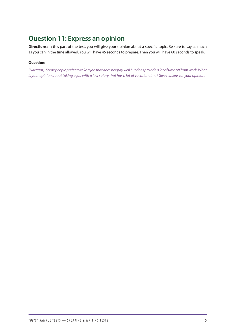# **Question 11: Express an opinion**

**Directions:** In this part of the test, you will give your opinion about a specific topic. Be sure to say as much as you can in the time allowed. You will have 45 seconds to prepare. Then you will have 60 seconds to speak.

### **Question:**

*(Narrator): Some people prefer to take a job that does not pay well but does provide a lot of time off from work. What is your opinion about taking a job with a low salary that has a lot of vacation time? Give reasons for your opinion.*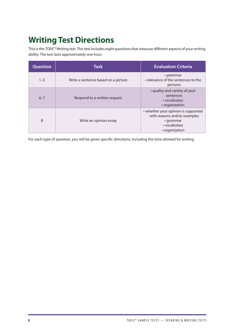# **Writing Test Directions**

This is the *TOEIC®* Writing test. This test includes eight questions that measure different aspects of your writing ability. The test lasts approximately one hour.

| Question | <b>Task</b>                         | <b>Evaluation Criteria</b>                                                                                               |
|----------|-------------------------------------|--------------------------------------------------------------------------------------------------------------------------|
| $1 - 5$  | Write a sentence based on a picture | $\cdot$ grammar<br>• relevance of the sentences to the<br>pictures                                                       |
| $6 - 7$  | Respond to a written request        | • quality and variety of your<br>sentences<br>• vocabulary<br>• organization                                             |
| 8        | Write an opinion essay              | • whether your opinion is supported<br>with reasons and/or examples<br>$\cdot$ grammar<br>• vocabulary<br>• organization |

For each type of question, you will be given specific directions, including the time allowed for writing.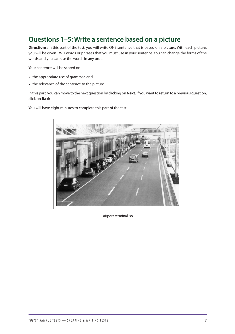# **Questions 1–5: Write a sentence based on a picture**

**Directions:** In this part of the test, you will write ONE sentence that is based on a picture. With each picture, you will be given TWO words or phrases that you must use in your sentence. You can change the forms of the words and you can use the words in any order.

Your sentence will be scored on

- the appropriate use of grammar, and
- the relevance of the sentence to the picture.

In this part, you can move to the next question by clicking on **Next**. If you want to return to a previous question, click on Back.

You will have eight minutes to complete this part of the test.



airport terminal, so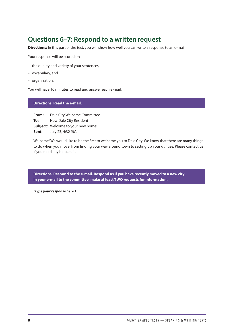# **Questions 6–7: Respond to a written request**

**Directions:** In this part of the test, you will show how well you can write a response to an e-mail.

Your response will be scored on

- the quality and variety of your sentences,
- vocabulary, and
- organization.

You will have 10 minutes to read and answer each e-mail.

### **Directions: Read the e-mail.**

**From:** Dale City Welcome Committee **To:** New Dale City Resident **Subject:** Welcome to your new home! **Sent:** July 23, 4:32 P.M.

Welcome! We would like to be the first to welcome you to Dale City. We know that there are many things to do when you move, from finding your way around town to setting up your utilities. Please contact us if you need any help at all.

**Directions: Respond to the e-mail. Respond as if you have recently moved to a new city. In your e-mail to the committee, make at least TWO requests for information.**

*(Type your response here.)*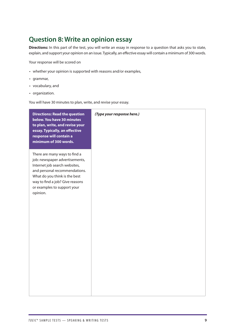# **Question 8: Write an opinion essay**

**Directions:** In this part of the test, you will write an essay in response to a question that asks you to state, explain, and support your opinion on an issue. Typically, an effective essay will contain a minimum of 300 words.

Your response will be scored on

- whether your opinion is supported with reasons and/or examples,
- grammar,
- vocabulary, and
- organization.

You will have 30 minutes to plan, write, and revise your essay.

| <b>Directions: Read the question</b><br>below. You have 30 minutes<br>to plan, write, and revise your<br>essay. Typically, an effective<br>response will contain a<br>minimum of 300 words.                                                      | (Type your response here.) |
|--------------------------------------------------------------------------------------------------------------------------------------------------------------------------------------------------------------------------------------------------|----------------------------|
| There are many ways to find a<br>job: newspaper advertisements,<br>Internet job search websites,<br>and personal recommendations.<br>What do you think is the best<br>way to find a job? Give reasons<br>or examples to support your<br>opinion. |                            |